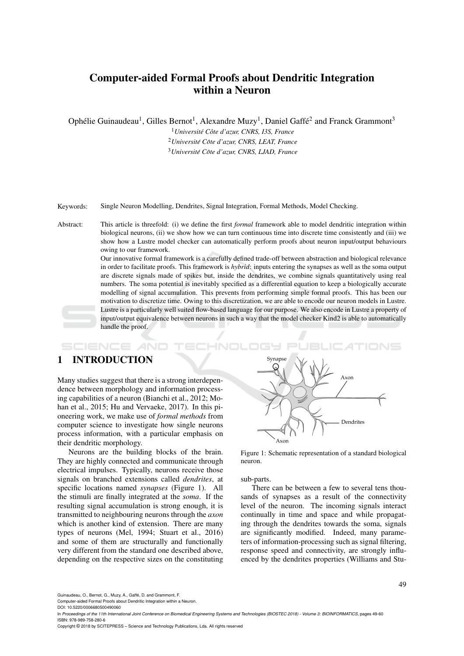# Computer-aided Formal Proofs about Dendritic Integration within a Neuron

Ophélie Guinaudeau<sup>1</sup>, Gilles Bernot<sup>1</sup>, Alexandre Muzy<sup>1</sup>, Daniel Gaffé<sup>2</sup> and Franck Grammont<sup>3</sup>

<sup>1</sup>*Universite C´ ote d'azur, CNRS, I3S, France ˆ* <sup>2</sup>*Universite C´ ote d'azur, CNRS, LEAT, France ˆ* <sup>3</sup>*Universite C´ ote d'azur, CNRS, LJAD, France ˆ*

Keywords: Single Neuron Modelling, Dendrites, Signal Integration, Formal Methods, Model Checking.

Abstract: This article is threefold: (i) we define the first *formal* framework able to model dendritic integration within biological neurons, (ii) we show how we can turn continuous time into discrete time consistently and (iii) we show how a Lustre model checker can automatically perform proofs about neuron input/output behaviours owing to our framework.

> Our innovative formal framework is a carefully defined trade-off between abstraction and biological relevance in order to facilitate proofs. This framework is *hybrid*: inputs entering the synapses as well as the soma output are discrete signals made of spikes but, inside the dendrites, we combine signals quantitatively using real numbers. The soma potential is inevitably specified as a differential equation to keep a biologically accurate modelling of signal accumulation. This prevents from performing simple formal proofs. This has been our motivation to discretize time. Owing to this discretization, we are able to encode our neuron models in Lustre. Lustre is a particularly well suited flow-based language for our purpose. We also encode in Lustre a property of input/output equivalence between neurons in such a way that the model checker Kind2 is able to automatically handle the proof.

#### SCIENCE *A*ND HNOL

## 1 INTRODUCTION

Many studies suggest that there is a strong interdependence between morphology and information processing capabilities of a neuron (Bianchi et al., 2012; Mohan et al., 2015; Hu and Vervaeke, 2017). In this pioneering work, we make use of *formal methods* from computer science to investigate how single neurons process information, with a particular emphasis on their dendritic morphology.

Neurons are the building blocks of the brain. They are highly connected and communicate through electrical impulses. Typically, neurons receive those signals on branched extensions called *dendrites*, at specific locations named *synapses* (Figure 1). All the stimuli are finally integrated at the *soma*. If the resulting signal accumulation is strong enough, it is transmitted to neighbouring neurons through the *axon* which is another kind of extension. There are many types of neurons (Mel, 1994; Stuart et al., 2016) and some of them are structurally and functionally very different from the standard one described above, depending on the respective sizes on the constituting



Figure 1: Schematic representation of a standard biological neuron.

#### sub-parts.

There can be between a few to several tens thousands of synapses as a result of the connectivity level of the neuron. The incoming signals interact continually in time and space and while propagating through the dendrites towards the soma, signals are significantly modified. Indeed, many parameters of information-processing such as signal filtering, response speed and connectivity, are strongly influenced by the dendrites properties (Williams and Stu-

Guinaudeau, O., Bernot, G., Muzy, A., Gaffé, D. and Grammont, F.

Computer-aided Formal Proofs about Dendritic Integration within a Neuron.

Copyright © 2018 by SCITEPRESS – Science and Technology Publications, Lda. All rights reserved

DOI: 10.5220/0006680500490060

In *Proceedings of the 11th International Joint Conference on Biomedical Engineering Systems and Technologies (BIOSTEC 2018) - Volume 3: BIOINFORMATICS*, pages 49-60 ISBN: 978-989-758-280-6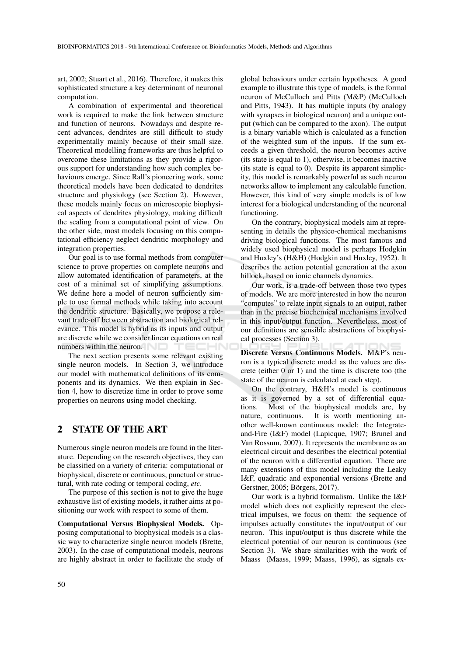art, 2002; Stuart et al., 2016). Therefore, it makes this sophisticated structure a key determinant of neuronal computation.

A combination of experimental and theoretical work is required to make the link between structure and function of neurons. Nowadays and despite recent advances, dendrites are still difficult to study experimentally mainly because of their small size. Theoretical modelling frameworks are thus helpful to overcome these limitations as they provide a rigorous support for understanding how such complex behaviours emerge. Since Rall's pioneering work, some theoretical models have been dedicated to dendrites structure and physiology (see Section 2). However, these models mainly focus on microscopic biophysical aspects of dendrites physiology, making difficult the scaling from a computational point of view. On the other side, most models focusing on this computational efficiency neglect dendritic morphology and integration properties.

Our goal is to use formal methods from computer science to prove properties on complete neurons and allow automated identification of parameters, at the cost of a minimal set of simplifying assumptions. We define here a model of neuron sufficiently simple to use formal methods while taking into account the dendritic structure. Basically, we propose a relevant trade-off between abstraction and biological relevance. This model is hybrid as its inputs and output are discrete while we consider linear equations on real numbers within the neuron. -10

The next section presents some relevant existing single neuron models. In Section 3, we introduce our model with mathematical definitions of its components and its dynamics. We then explain in Section 4, how to discretize time in order to prove some properties on neurons using model checking.

### 2 STATE OF THE ART

Numerous single neuron models are found in the literature. Depending on the research objectives, they can be classified on a variety of criteria: computational or biophysical, discrete or continuous, punctual or structural, with rate coding or temporal coding, *etc*.

The purpose of this section is not to give the huge exhaustive list of existing models, it rather aims at positioning our work with respect to some of them.

Computational Versus Biophysical Models. Opposing computational to biophysical models is a classic way to characterize single neuron models (Brette, 2003). In the case of computational models, neurons are highly abstract in order to facilitate the study of

global behaviours under certain hypotheses. A good example to illustrate this type of models, is the formal neuron of McCulloch and Pitts (M&P) (McCulloch and Pitts, 1943). It has multiple inputs (by analogy with synapses in biological neuron) and a unique output (which can be compared to the axon). The output is a binary variable which is calculated as a function of the weighted sum of the inputs. If the sum exceeds a given threshold, the neuron becomes active (its state is equal to 1), otherwise, it becomes inactive (its state is equal to 0). Despite its apparent simplicity, this model is remarkably powerful as such neuron networks allow to implement any calculable function. However, this kind of very simple models is of low interest for a biological understanding of the neuronal functioning.

On the contrary, biophysical models aim at representing in details the physico-chemical mechanisms driving biological functions. The most famous and widely used biophysical model is perhaps Hodgkin and Huxley's (H&H) (Hodgkin and Huxley, 1952). It describes the action potential generation at the axon hillock, based on ionic channels dynamics.

Our work, is a trade-off between those two types of models. We are more interested in how the neuron "computes" to relate input signals to an output, rather than in the precise biochemical mechanisms involved in this input/output function. Nevertheless, most of our definitions are sensible abstractions of biophysical processes (Section 3).

Discrete Versus Continuous Models. M&P's neuron is a typical discrete model as the values are discrete (either 0 or 1) and the time is discrete too (the state of the neuron is calculated at each step).

On the contrary, H&H's model is continuous as it is governed by a set of differential equations. Most of the biophysical models are, by nature, continuous. It is worth mentioning another well-known continuous model: the Integrateand-Fire (I&F) model (Lapicque, 1907; Brunel and Van Rossum, 2007). It represents the membrane as an electrical circuit and describes the electrical potential of the neuron with a differential equation. There are many extensions of this model including the Leaky I&F, quadratic and exponential versions (Brette and Gerstner, 2005; Börgers, 2017).

Our work is a hybrid formalism. Unlike the I&F model which does not explicitly represent the electrical impulses, we focus on them: the sequence of impulses actually constitutes the input/output of our neuron. This input/output is thus discrete while the electrical potential of our neuron is continuous (see Section 3). We share similarities with the work of Maass (Maass, 1999; Maass, 1996), as signals ex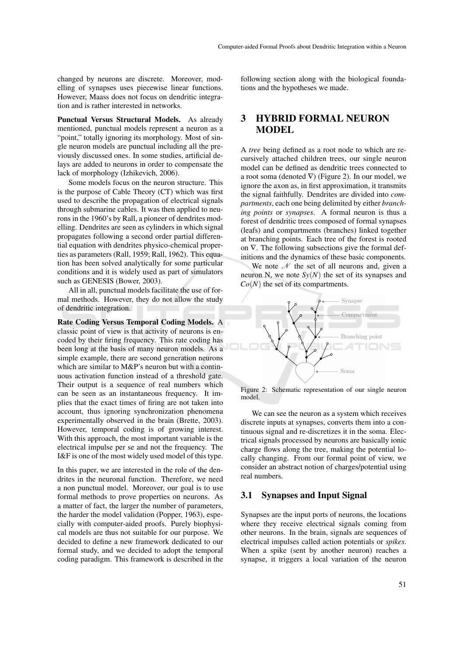changed by neurons are discrete. Moreover, modelling of synapses uses piecewise linear functions. However, Maass does not focus on dendritic integration and is rather interested in networks.

Punctual Versus Structural Models. As already mentioned, punctual models represent a neuron as a "point," totally ignoring its morphology. Most of single neuron models are punctual including all the previously discussed ones. In some studies, artificial delays are added to neurons in order to compensate the lack of morphology (Izhikevich, 2006).

Some models focus on the neuron structure. This is the purpose of Cable Theory (CT) which was first used to describe the propagation of electrical signals through submarine cables. It was then applied to neurons in the 1960's by Rall, a pioneer of dendrites modelling. Dendrites are seen as cylinders in which signal propagates following a second order partial differential equation with dendrites physico-chemical properties as parameters (Rall, 1959; Rall, 1962). This equation has been solved analytically for some particular conditions and it is widely used as part of simulators such as GENESIS (Bower, 2003).

All in all, punctual models facilitate the use of formal methods. However, they do not allow the study of dendritic integration.

Rate Coding Versus Temporal Coding Models. A classic point of view is that activity of neurons is encoded by their firing frequency. This rate coding has been long at the basis of many neuron models. As a simple example, there are second generation neurons which are similar to M&P's neuron but with a continuous activation function instead of a threshold gate. Their output is a sequence of real numbers which can be seen as an instantaneous frequency. It implies that the exact times of firing are not taken into account, thus ignoring synchronization phenomena experimentally observed in the brain (Brette, 2003). However, temporal coding is of growing interest. With this approach, the most important variable is the electrical impulse per se and not the frequency. The I&F is one of the most widely used model of this type.

In this paper, we are interested in the role of the dendrites in the neuronal function. Therefore, we need a non punctual model. Moreover, our goal is to use formal methods to prove properties on neurons. As a matter of fact, the larger the number of parameters, the harder the model validation (Popper, 1963), especially with computer-aided proofs. Purely biophysical models are thus not suitable for our purpose. We decided to define a new framework dedicated to our formal study, and we decided to adopt the temporal coding paradigm. This framework is described in the following section along with the biological foundations and the hypotheses we made.

### 3 HYBRID FORMAL NEURON **MODEL**

A *tree* being defined as a root node to which are recursively attached children trees, our single neuron model can be defined as dendritic trees connected to a root soma (denoted  $\nabla$ ) (Figure 2). In our model, we ignore the axon as, in first approximation, it transmits the signal faithfully. Dendrites are divided into *compartments*, each one being delimited by either *branching points* or *synapses*. A formal neuron is thus a forest of dendritic trees composed of formal synapses (leafs) and compartments (branches) linked together at branching points. Each tree of the forest is rooted on ∇. The following subsections give the formal definitions and the dynamics of these basic components.

We note  $\mathcal N$  the set of all neurons and, given a neuron N, we note  $S_y(N)$  the set of its synapses and *Co*(*N*) the set of its compartments.



Figure 2: Schematic representation of our single neuron model.

We can see the neuron as a system which receives discrete inputs at synapses, converts them into a continuous signal and re-discretizes it in the soma. Electrical signals processed by neurons are basically ionic charge flows along the tree, making the potential locally changing. From our formal point of view, we consider an abstract notion of charges/potential using real numbers.

### 3.1 Synapses and Input Signal

Synapses are the input ports of neurons, the locations where they receive electrical signals coming from other neurons. In the brain, signals are sequences of electrical impulses called action potentials or *spikes*. When a spike (sent by another neuron) reaches a synapse, it triggers a local variation of the neuron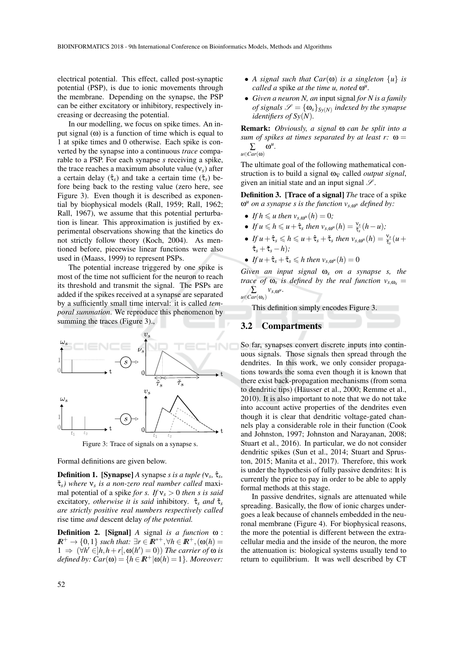electrical potential. This effect, called post-synaptic potential (PSP), is due to ionic movements through the membrane. Depending on the synapse, the PSP can be either excitatory or inhibitory, respectively increasing or decreasing the potential.

In our modelling, we focus on spike times. An input signal  $(\omega)$  is a function of time which is equal to 1 at spike times and 0 otherwise. Each spike is converted by the synapse into a continuous *trace* comparable to a PSP. For each synapse *s* receiving a spike, the trace reaches a maximum absolute value (ν*s*) after a certain delay (τˆ*s*) and take a certain time (τˇ*s*) before being back to the resting value (zero here, see Figure 3). Even though it is described as exponential by biophysical models (Rall, 1959; Rall, 1962; Rall, 1967), we assume that this potential perturbation is linear. This approximation is justified by experimental observations showing that the kinetics do not strictly follow theory (Koch, 2004). As mentioned before, piecewise linear functions were also used in (Maass, 1999) to represent PSPs.

The potential increase triggered by one spike is most of the time not sufficient for the neuron to reach its threshold and transmit the signal. The PSPs are added if the spikes received at a synapse are separated by a sufficiently small time interval: it is called *temporal summation*. We reproduce this phenomenon by summing the traces (Figure 3).,



Figure 3: Trace of signals on a synapse s.

Formal definitions are given below.

**Definition 1.** [Synapse] *A* synapse *s* is a tuple  $(v_s, \hat{\tau}_s)$ τˇ*s) where* ν*<sup>s</sup> is a non-zero real number called* maximal potential of a spike *for s. If* ν*<sup>s</sup>* > 0 *then s is said* excitatory*, otherwise it is said* inhibitory*.* τˆ*<sup>s</sup> and* τˇ*<sup>s</sup> are strictly positive real numbers respectively called* rise time *and* descent delay *of the potential.*

Definition 2. [Signal] *A* signal *is a function* ω :  $I\!\!R^+ \to \{0,1\}$  *such that:*  $\exists r \in I\!\!R^{*+}, \forall h \in I\!\!R^+, (\omega(h))$  $1$  ⇒ (∀*h*' ∈]*h*,*h*+*r*[, ω(*h'*) = 0)) *The carrier of* ω *is defined by:*  $Car(\omega) = \{h \in \mathbb{R}^+ | \omega(h) = 1\}$ *. Moreover:* 

- *A signal such that Car*(ω) *is a singleton* {*u*} *is called a* spike *at the time u, noted* ω<sup>*u*</sup>.
- *Given a neuron N, an* input signal *for N is a family of signals*  $\mathscr{S} = {\omega_s}_{s(y(N))}$  *indexed by the synapse identifiers of Sy*(*N*)*.*

Remark: *Obviously, a signal* ω *can be split into a sum of spikes at times separated by at least r:* ω = ∑  $\omega^u$ .

*u*∈*Car*(ω)

The ultimate goal of the following mathematical construction is to build a signal  $\omega_V$  called *output signal*, given an initial state and an input signal  $\mathscr{S}.$ 

Definition 3. [Trace of a signal] *The* trace of a spike ω *<sup>u</sup> on a synapse s is the function vs*,ω*<sup>u</sup> defined by:*

- *If*  $h \leq u$  then  $v_{s, \omega^u}(h) = 0$ ;
- If  $u \leq h \leq u + \hat{\tau}_s$  then  $v_{s,\omega^u}(h) = \frac{v_s}{\hat{\tau}_s}(h-u);$
- If  $u + \hat{\tau}_s \leq h \leq u + \hat{\tau}_s + \check{\tau}_s$  then  $v_{s,\omega^u}(h) = \frac{v_s}{\check{\tau}_s}(u +$  $\hat{\tau}_s + \check{\tau}_s - h$ );
- *If*  $u + \hat{\tau}_s + \check{\tau}_s \leq h$  then  $v_{s,\omega^u}(h) = 0$

*Given an input signal* ω*<sup>s</sup> on a synapse s, the trace of*  $\omega_s$  *is defined by the real function*  $v_{s,\omega_s} =$  $\sum$   $v_{s,\omega}$ <sup>u</sup>.

 $u \in \overline{Car}(\omega_s)$ 

This definition simply encodes Figure 3.

### 3.2 Compartments

So far, synapses convert discrete inputs into continuous signals. Those signals then spread through the dendrites. In this work, we only consider propagations towards the soma even though it is known that there exist back-propagation mechanisms (from soma to dendritic tips) (Häusser et al., 2000; Remme et al., 2010). It is also important to note that we do not take into account active properties of the dendrites even though it is clear that dendritic voltage-gated channels play a considerable role in their function (Cook and Johnston, 1997; Johnston and Narayanan, 2008; Stuart et al., 2016). In particular, we do not consider dendritic spikes (Sun et al., 2014; Stuart and Spruston, 2015; Manita et al., 2017). Therefore, this work is under the hypothesis of fully passive dendrites: It is currently the price to pay in order to be able to apply formal methods at this stage.

In passive dendrites, signals are attenuated while spreading. Basically, the flow of ionic charges undergoes a leak because of channels embedded in the neuronal membrane (Figure 4). For biophysical reasons, the more the potential is different between the extracellular media and the inside of the neuron, the more the attenuation is: biological systems usually tend to return to equilibrium. It was well described by CT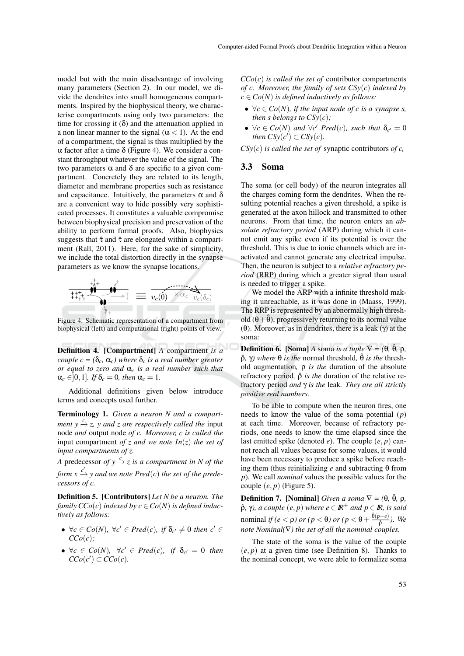model but with the main disadvantage of involving many parameters (Section 2). In our model, we divide the dendrites into small homogeneous compartments. Inspired by the biophysical theory, we characterise compartments using only two parameters: the time for crossing it  $(\delta)$  and the attenuation applied in a non linear manner to the signal  $(\alpha < 1)$ . At the end of a compartment, the signal is thus multiplied by the α factor after a time δ (Figure 4). We consider a constant throughput whatever the value of the signal. The two parameters α and δ are specific to a given compartment. Concretely they are related to its length, diameter and membrane properties such as resistance and capacitance. Intuitively, the parameters  $\alpha$  and  $\delta$ are a convenient way to hide possibly very sophisticated processes. It constitutes a valuable compromise between biophysical precision and preservation of the ability to perform formal proofs. Also, biophysics suggests that  $\hat{\tau}$  and  $\check{\tau}$  are elongated within a compartment (Rall, 2011). Here, for the sake of simplicity, we include the total distortion directly in the synapse parameters as we know the synapse locations.

$$
\underbrace{\overset{\underset{\scriptscriptstyle{\text{+t+1}}}{\overset{\scriptscriptstyle{\text{+t+1}}}{\overset{\scriptscriptstyle{\text{+t+1}}}{\overset{\scriptscriptstyle{\text{+t+1}}}{\overset{\scriptscriptstyle{\text{+t+1}}}{\overset{\scriptscriptstyle{\text{+t+1}}}{\overset{\scriptscriptstyle{\text{+t+1}}}{\overset{\scriptscriptstyle{\text{+t+1}}}{\overset{\scriptscriptstyle{\text{+t+1}}}{\overset{\scriptscriptstyle{\text{+t+1}}}{\overset{\scriptscriptstyle{\text{+t+1}}}{\overset{\scriptscriptstyle{\text{+t+1}}}{\overset{\scriptscriptstyle{\text{+t+1}}}{\overset{\scriptscriptstyle{\text{+t+1}}}{\overset{\scriptscriptstyle{\text{+t+1}}}{\overset{\scriptscriptstyle{\text{+t+1}}}{\overset{\scriptscriptstyle{\text{+t+1}}}{\overset{\scriptscriptstyle{\text{+t+1}}}{\overset{\scriptscriptstyle{\text{+t+1}}}{\overset{\scriptscriptstyle{\text{+t+1}}}{\overset{\scriptscriptstyle{\text{+t+1}}}{\overset{\scriptscriptstyle{\text{+t+1}}}{\overset{\scriptscriptstyle{\text{+t+1}}}{\overset{\scriptscriptstyle{\text{+t+1}}}{\overset{\scriptscriptstyle{\text{+t+1}}}{\overset{\scriptscriptstyle{\text{+t+1}}}{\overset{\scriptscriptstyle{\text{+t+1}}}{\overset{\scriptscriptstyle{\text{+t+1}}}{\overset{\scriptscriptstyle{\text{+t+1}}}{\overset{\scriptscriptstyle{\text{+t+1}}}{\overset{\scriptscriptstyle{\text{+t+1}}}{\overset{\scriptscriptstyle{\text{+t+1}}}{\overset{\scriptscriptstyle{\text{+t+1}}}{\overset{\scriptscriptstyle{\text{+t+1}}}{\overset{\scriptscriptstyle{\text{+t+1}}}{\overset{\scriptscriptstyle{\text{+t+1}}}{\overset{\scriptscriptstyle{\text{+t+1}}}{\overset{\scriptscriptstyle{\text{+t+1}}}{\overset{\scriptscriptstyle{\text{+t+1}}}{\overset{\scriptscriptstyle{\text{+t+1}}}{\overset{\scriptscriptstyle{\text{+t+1}}}{\overset{\scriptscriptstyle{\text{+t+1}}}{\overset{\scriptscriptstyle{\text{+t+1}}}{\overset{\scriptscriptstyle{\text{+t+1}}}{\overset{\scriptscriptstyle{\text{+t+1}}}{\overset{\scriptscriptstyle{\text{+t+1}}}{\overset{\scriptscriptstyle{\text{+t+1}}}{\overs
$$

Figure 4: Schematic representation of a compartment from biophysical (left) and computational (right) points of view.

Definition 4. [Compartment] *A* compartment *is a couple c* =  $(\delta_c, \alpha_c)$  *where*  $\delta_c$  *is a real number greater or equal to zero and* α*<sup>c</sup> is a real number such that*  $\alpha_c \in ]0,1]$ *. If*  $\delta_c = 0$ *, then*  $\alpha_c = 1$ *.* 

Additional definitions given below introduce terms and concepts used further.

Terminology 1. *Given a neuron N and a compartment y*  $\xrightarrow{c}$  *z, y and z are respectively called the input* node *and* output node *of c. Moreover, c is called the* input compartment *of z and we note In*(*z*) *the set of input compartments of z.*

*A* predecessor *of*  $y \xrightarrow{c} z$  *is a compartment in N of the form*  $x \xrightarrow{c'} y$  and we note Pred(*c*) the set of the prede*cessors of c.*

Definition 5. [Contributors] *Let N be a neuron. The family*  $CCo(c)$  *indexed by*  $c \in Co(N)$  *is defined inductively as follows:*

- $\bullet \ \ \forall c \in Co(N), \ \forall c' \in Pred(c), \ \text{if } \delta_{c'} \neq 0 \ \text{then} \ \ c' \in$  $CCo(c)$ ;
- $\bullet \ \forall c \in Co(N), \ \forall c' \in Pred(c), \ \text{if} \ \delta_{c'} = 0 \ \text{then}$  $CCo(c') \subset CCo(c)$ .

 $CCo(c)$  *is called the set of* contributor compartments *of c. Moreover, the family of sets CSy*(*c*) *indexed by*  $c \in Co(N)$  *is defined inductively as follows:* 

- $\forall c \in Co(N)$ , if the input node of c is a synapse s, *then s belongs to*  $CSy(c)$ *;*
- $\forall c \in Co(N)$  *and*  $\forall c'$  *Pred*(*c*)*, such that*  $\delta_{c'} = 0$ *then*  $CSy(c') \subset CSy(c)$ *.*

*CSy*(*c*) *is called the set of* synaptic contributors *of c,*

### 3.3 Soma

The soma (or cell body) of the neuron integrates all the charges coming form the dendrites. When the resulting potential reaches a given threshold, a spike is generated at the axon hillock and transmitted to other neurons. From that time, the neuron enters an *absolute refractory period* (ARP) during which it cannot emit any spike even if its potential is over the threshold. This is due to ionic channels which are inactivated and cannot generate any electrical impulse. Then, the neuron is subject to a *relative refractory period* (RRP) during which a greater signal than usual is needed to trigger a spike.

We model the ARP with a infinite threshold making it unreachable, as it was done in (Maass, 1999). The RRP is represented by an abnormally high threshold  $(\theta + \hat{\theta})$ , progressively returning to its normal value (θ). Moreover, as in dendrites, there is a leak (γ) at the soma:

**Definition 6.** [Soma] *A* soma *is a tuple*  $\nabla = (\theta, \hat{\theta}, \rho, \phi)$  $ρ$ *, γ)* where  $θ$  *is the* normal threshold,  $θ$  *is the* threshold augmentation*,* ρ *is the* duration of the absolute refractory period,  $\hat{\rho}$  *is the* duration of the relative refractory period *and* γ *is the* leak*. They are all strictly positive real numbers.*

To be able to compute when the neuron fires, one needs to know the value of the soma potential (*p*) at each time. Moreover, because of refractory periods, one needs to know the time elapsed since the last emitted spike (denoted *e*). The couple (*e*, *p*) cannot reach all values because for some values, it would have been necessary to produce a spike before reaching them (thus reinitializing *e* and subtracting θ from *p*). We call *nominal* values the possible values for the couple  $(e, p)$  (Figure 5).

**Definition 7.** [Nominal] *Given a soma*  $\nabla = (\theta, \hat{\theta}, \rho, \phi)$  $ρ̂$ , γ $\rho$ *, a couple*  $(e, p)$  *where*  $e ∈ **R**$ <sup>+</sup> *and*  $p ∈ **R**$ *, is said* nominal *if (e* <  $\rho$ ) *or (p* <  $\theta$ ) *or (p* <  $\theta + \frac{\hat{\theta}(p-e)}{\hat{\rho}})$ *. We note Nominal(*∇*) the set of all the nominal couples.*

The state of the soma is the value of the couple  $(e, p)$  at a given time (see Definition 8). Thanks to the nominal concept, we were able to formalize soma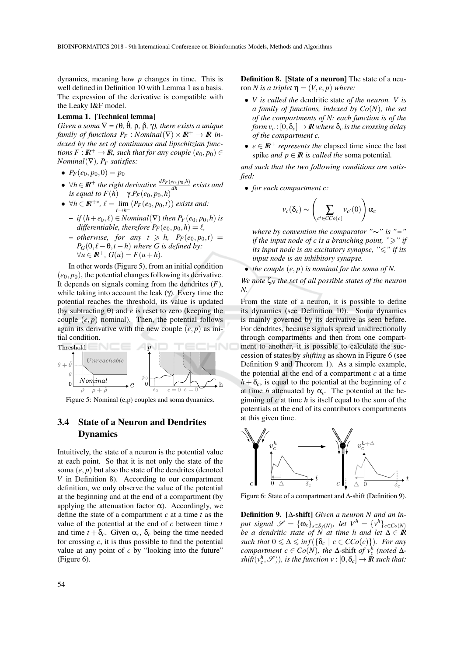dynamics, meaning how *p* changes in time. This is well defined in Definition 10 with Lemma 1 as a basis. The expression of the derivative is compatible with the Leaky I&F model.

#### Lemma 1. [Technical lemma]

*Given a soma*  $\nabla = (\theta, \hat{\theta}, \rho, \hat{\rho}, \gamma)$ *, there exists a unique family of functions*  $P_F$ : *Nominal*( $\nabla$ ) ×  $\mathbb{R}^+$  →  $\mathbb{R}$  *indexed by the set of continuous and lipschitzian functions*  $F: \mathbb{R}^+ \to \mathbb{R}$ , such that for any couple  $(e_0, p_0) \in$ *Nominal*(∇)*, P<sup>F</sup> satisfies:*

- $P_F(e_0, p_0, 0) = p_0$
- $\forall h \in \mathbb{R}^+$  *the right derivative*  $\frac{dP_F(e_0, p_0, h)}{dh}$  *exists and is equal to*  $F(h) - \gamma.P_F(e_0, p_0, h)$
- $\forall h \in \mathbb{R}^{+*}, \ell = \lim_{t \to h^{-}}$ *t*→*h*<sup>−</sup>  $(P_F(e_0, p_0, t))$  *exists and:* 
	- $-$  *if*  $(h+e_0, \ell) \in Nominal(\nabla)$  *then*  $P_F(e_0, p_0, h)$  *is differentiable, therefore*  $P_F(e_0, p_0, h) = l$ ,
	- $-$  *otherwise, for any t*  $\geq h$ ,  $P_F(e_0, p_0, t)$  =  $P_G(0, \ell - \theta, t - h)$  *where G is defined by:*  $\forall u \in \mathbb{R}^+$ ,  $G(u) = F(u+h)$ .

In other words (Figure 5), from an initial condition  $(e_0, p_0)$ , the potential changes following its derivative. It depends on signals coming from the dendrites (*F*), while taking into account the leak  $(\gamma)$ . Every time the potential reaches the threshold, its value is updated (by subtracting θ) and *e* is reset to zero (keeping the couple  $(e, p)$  nominal). Then, the potential follows again its derivative with the new couple  $(e, p)$  as initial condition.



Figure 5: Nominal (e,p) couples and soma dynamics.

### 3.4 State of a Neuron and Dendrites Dynamics

Intuitively, the state of a neuron is the potential value at each point. So that it is not only the state of the soma  $(e, p)$  but also the state of the dendrites (denoted *V* in Definition 8). According to our compartment definition, we only observe the value of the potential at the beginning and at the end of a compartment (by applying the attenuation factor  $\alpha$ ). Accordingly, we define the state of a compartment *c* at a time *t* as the value of the potential at the end of *c* between time *t* and time  $t + \delta_c$ . Given  $\alpha_c$ ,  $\delta_c$  being the time needed for crossing *c*, it is thus possible to find the potential value at any point of *c* by "looking into the future" (Figure 6).

Definition 8. [State of a neuron] The state of a neuron *N* is a triplet  $\eta = (V, e, p)$  where:

- *V is called the* dendritic state *of the neuron. V is a family of functions, indexed by Co*(*N*)*, the set of the compartments of N; each function is of the form*  $v_c$ :  $[0, \delta_c] \rightarrow \mathbb{R}$  *where*  $\delta_c$  *is the crossing delay of the compartment c.*
- $e \in \mathbb{R}^+$  *represents the* elapsed time since the last spike *and*  $p \in \mathbb{R}$  *is called the* soma potential.

*and such that the two following conditions are satisfied:*

• *for each compartment c:*

$$
v_c(\delta_c) \sim \left(\sum_{c' \in CCo(c)} v_{c'}(0)\right) \alpha_c
$$

*where by convention the comparator "*∼*" is "=" if the input node of c is a branching point, "* $\geq$ *" if its input node is an excitatory synapse, "* $\leq$ *" if its input node is an inhibitory synapse.*

• *the couple* (*e*, *p*) *is nominal for the soma of N.*

*We note* ζ*<sup>N</sup> the set of all possible states of the neuron N.*

From the state of a neuron, it is possible to define its dynamics (see Definition 10). Soma dynamics is mainly governed by its derivative as seen before. For dendrites, because signals spread unidirectionally through compartments and then from one compartment to another, it is possible to calculate the succession of states by *shifting* as shown in Figure 6 (see Definition 9 and Theorem 1). As a simple example, the potential at the end of a compartment  $c$  at a time  $h + \delta_c$ , is equal to the potential at the beginning of *c* at time *h* attenuated by  $\alpha_c$ . The potential at the beginning of *c* at time *h* is itself equal to the sum of the potentials at the end of its contributors compartments at this given time.



Figure 6: State of a compartment and ∆-shift (Definition 9).

Definition 9. [∆-shift] *Given a neuron N and an input signal*  $\mathscr{S} = {\omega_s}_{s \in Sy(N)}$ *, let*  $V^h = {v^h}_{c \in Co(N)}$ *be a dendritic state of N at time h and let* ∆ ∈ *IR such that*  $0 \le \Delta \le \inf\{ \{\delta_c \mid c \in CC_0(c)\} \}$ *. For any compartment*  $c \in Co(N)$ *, the*  $\Delta$ -shift *of*  $v_c^h$  (noted  $\Delta$ - $\textit{shift}(v_c^h, \mathscr{S}))$ , is the function  $v : [0, \delta_c] \rightarrow \mathbb{R}$  such that: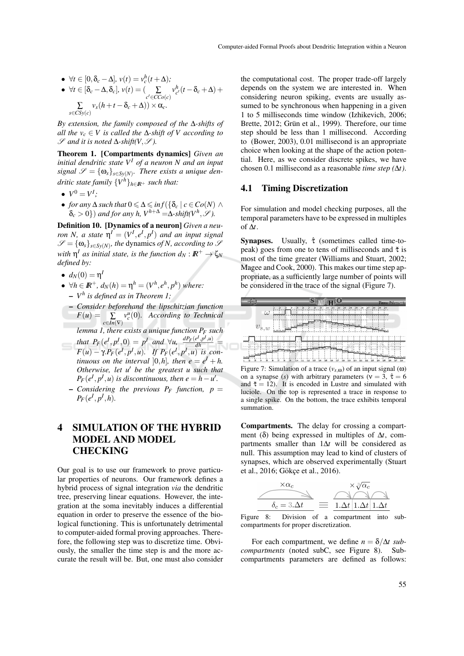•  $\forall t \in [0, \delta_c - \Delta], v(t) = v_c^h(t + \Delta);$ 

• 
$$
\forall t \in [\delta_c - \Delta, \delta_c], v(t) = (\sum_{c' \in CCo(c)} v_{c'}^h (t - \delta_c + \Delta) + \sum_{s \in CSy(c)} v_s (h + t - \delta_c + \Delta)) \times \alpha_c.
$$

*By extension, the family composed of the* ∆*-shifts of all the*  $v_c \in V$  *is called the*  $\Delta$ -*shift of*  $V$  *according to*  $\mathscr S$  *and it is noted*  $\Delta$ -*shift(V,*  $\mathscr S$ *).* 

Theorem 1. [Compartments dynamics] *Given an initial dendritic state V<sup>I</sup> of a neuron N and an input*  $signal \mathscr{S} = {\omega_s}_{s \in \mathcal{S}_y(N)}$ *. There exists a unique dendritic state family* {*V <sup>h</sup>*}*h*∈*IR*<sup>+</sup> *such that:*

- $V^0 = V^I$ ;
- *for any*  $\Delta$  *such that*  $0 \leq \Delta \leq \inf \{ \{ \delta_c \mid c \in Co(N) \wedge \}$  $\delta_c > 0$ }) *and for any h, V*<sup>h+∆</sup> =∆*-shift*(V<sup>*h*</sup>,  $\mathscr{S}$ ).

Definition 10. [Dynamics of a neuron] *Given a neuron N*, *a* state  $\eta^I = (V^I, e^I, p^I)$  and an input signal  $\mathscr{S} = {\omega_s}_{s \in S_y(N)}$ , the dynamics *of N, according to*  $\mathscr{S}$ *with*  $\eta^I$  *as initial state, is the function*  $d_N : I\!\!R^+ \to \zeta_N$ *defined by:*

- $d_N(0) = \eta^l$
- $\forall h \in \mathbb{R}^+, d_N(h) = \eta^h = (V^h, e^h, p^h)$  where: – *V h is defined as in Theorem 1;*
- *Consider beforehand the lipschitzian function*  $F(u) = \sum$ *c*∈*In*(∇) *v u c* (0)*. According to Technical lemma 1, there exists a unique function P<sup>F</sup> such*
- *that*  $P_F(e^I, p^I, 0) = p^I$  *and*  $\forall u, \frac{dP_F(e^I, p^I, u)}{dh} =$  $F(u) - \gamma \cdot P_F(e^I, p^I, u)$ *. If*  $P_F(e^I, p^I, u)$  *is continuous on the interval* [0,*h*]*, then*  $e = e^I + h$ *. Otherwise, let u' be the greatest u such that*  $P_F(e^I, p^I, u)$  *is discontinuous, then*  $e = h - u'$ *.* 
	- $-$  *Considering the previous P<sub>F</sub> function, p* =  $P_F(e^I, p^I, h)$ .

# 4 SIMULATION OF THE HYBRID MODEL AND MODEL **CHECKING**

Our goal is to use our framework to prove particular properties of neurons. Our framework defines a hybrid process of signal integration *via* the dendritic tree, preserving linear equations. However, the integration at the soma inevitably induces a differential equation in order to preserve the essence of the biological functioning. This is unfortunately detrimental to computer-aided formal proving approaches. Therefore, the following step was to discretize time. Obviously, the smaller the time step is and the more accurate the result will be. But, one must also consider

the computational cost. The proper trade-off largely depends on the system we are interested in. When considering neuron spiking, events are usually assumed to be synchronous when happening in a given 1 to 5 milliseconds time window (Izhikevich, 2006; Brette, 2012; Grün et al., 1999). Therefore, our time step should be less than 1 millisecond. According to (Bower, 2003), 0.01 millisecond is an appropriate choice when looking at the shape of the action potential. Here, as we consider discrete spikes, we have chosen 0.1 millisecond as a reasonable *time step (*∆*t)*.

#### 4.1 Timing Discretization

For simulation and model checking purposes, all the temporal parameters have to be expressed in multiples of ∆*t*.

Synapses. Usually,  $\hat{\tau}$  (sometimes called time-topeak) goes from one to tens of milliseconds and  $\check{\tau}$  is most of the time greater (Williams and Stuart, 2002; Magee and Cook, 2000). This makes our time step appropriate, as a sufficiently large number of points will be considered in the trace of the signal (Figure 7).

| <b>VERIMAG</b>                                                                                                                                                                                                                                                                                                                                                                                 |                                                                                                                                                                                                                                                      | Yann Rénositt    |
|------------------------------------------------------------------------------------------------------------------------------------------------------------------------------------------------------------------------------------------------------------------------------------------------------------------------------------------------------------------------------------------------|------------------------------------------------------------------------------------------------------------------------------------------------------------------------------------------------------------------------------------------------------|------------------|
| ω                                                                                                                                                                                                                                                                                                                                                                                              | $_{12}$<br>'n<br>۰.<br>$15 -$<br>$14 +$<br>$15 -$<br>ho.<br>'nп<br>37<br>hn.<br>10 <sub>o</sub>                                                                                                                                                      | 20<br>-19        |
| $v_{s,w}$                                                                                                                                                                                                                                                                                                                                                                                      | $\frac{2.75}{2.75}$ $\frac{1}{2.25}$ $\frac{1}{2.25}$ $\frac{1.75}{1.75}$<br>$1.50$ $\frac{1.50}{2.51}$<br>10,0010,00                                                                                                                                |                  |
|                                                                                                                                                                                                                                                                                                                                                                                                |                                                                                                                                                                                                                                                      |                  |
| $\frac{1}{16.54 \text{ km}^2 \cdot 10^{-12} \cdot 10^{-12} \cdot 10^{-13} \cdot 10^{-13} \cdot 10^{-13} \cdot 10^{-13} \cdot 10^{-13} \cdot 10^{-13} \cdot 10^{-13} \cdot 10^{-13} \cdot 10^{-13} \cdot 10^{-13} \cdot 10^{-13} \cdot 10^{-13} \cdot 10^{-13} \cdot 10^{-13} \cdot 10^{-13} \cdot 10^{-13} \cdot 10^{-13} \cdot 10^{-13} \cdot 10^{-13} \cdot 10^{-13} \cdot 10$<br>0.00<br>×. | 4.00<br>7.50<br>5. 11 2.75 3.34 2.75 <sup>3.11</sup> <sup>5.26</sup><br>3.00 3.50 3.00 1.75 1.50 1.35 1.39 3.75 3.50 3.25 3.39 3.39<br>110<br>$+12$<br>42<br>$-28$<br>13.5<br>15<br>o<br>111<br>14<br>Ø1<br>ı8<br>128<br>64<br>116<br>17<br>129<br>ю | 68<br>:25<br>126 |

Figure 7: Simulation of a trace  $(v_{s,\omega})$  of an input signal  $(\omega)$ on a synapse (s) with arbitrary parameters ( $v = 3$ ,  $\hat{\tau} = 6$ and  $\check{\tau} = 12$ ). It is encoded in Lustre and simulated with luciole. On the top is represented a trace in response to a single spike. On the bottom, the trace exhibits temporal summation.

Compartments. The delay for crossing a compartment (δ) being expressed in multiples of ∆*t*, compartments smaller than 1∆*t* will be considered as null. This assumption may lead to kind of clusters of synapses, which are observed experimentally (Stuart et al., 2016; Gökçe et al., 2016).



Figure 8: Division of a compartment into subcompartments for proper discretization.

For each compartment, we define  $n = \delta/\Delta t$  sub*compartments* (noted subC, see Figure 8). Subcompartments parameters are defined as follows: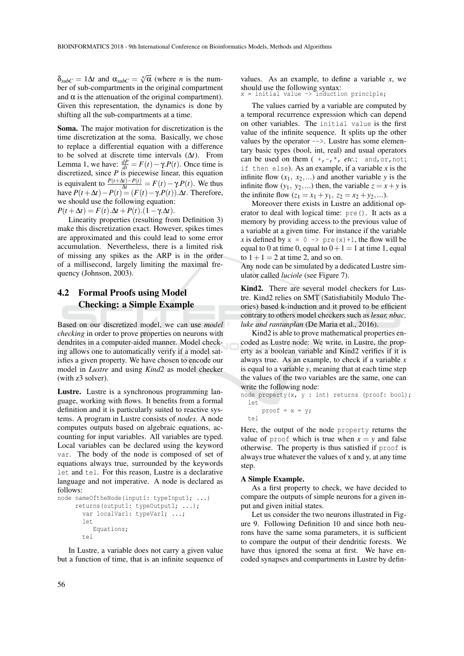$\delta_{subC} = 1\Delta t$  and  $\alpha_{subC} = \sqrt[n]{\alpha}$  (where *n* is the number of sub-compartments in the original compartment and  $\alpha$  is the attenuation of the original compartment). Given this representation, the dynamics is done by shifting all the sub-compartments at a time.

Soma. The major motivation for discretization is the time discretization at the soma. Basically, we chose to replace a differential equation with a difference to be solved at discrete time intervals (∆*t*). From Lemma 1, we have:  $\frac{dP}{dt} = F(t) - \gamma P(t)$ . Once time is discretized, since *P* is piecewise linear, this equation is equivalent to  $\frac{P(t+\Delta t)-P(t)}{P(t+\Delta t)}=F(t)-\gamma.P(t)$ . We thus have  $P(t + \Delta t) - P(t) = (F(t) - \gamma P(t)) \cdot \Delta t$ . Therefore, we should use the following equation: *P*(*t* + Δ*t*) = *F*(*t*). $\Delta t$  + *P*(*t*).(1 – γ. $\Delta t$ ).

Linearity properties (resulting from Definition 3) make this discretization exact. However, spikes times are approximated and this could lead to some error accumulation. Nevertheless, there is a limited risk of missing any spikes as the ARP is in the order of a millisecond, largely limiting the maximal frequency (Johnson, 2003).

### 4.2 Formal Proofs using Model Checking: a Simple Example

Based on our discretized model, we can use *model checking* in order to prove properties on neurons with dendrites in a computer-aided manner. Model checking allows one to automatically verify if a model satisfies a given property. We have chosen to encode our model in *Lustre* and using *Kind2* as model checker (with z3 solver).

Lustre. Lustre is a synchronous programming language, working with flows. It benefits from a formal definition and it is particularly suited to reactive systems. A program in Lustre consists of *nodes*. A node computes outputs based on algebraic equations, accounting for input variables. All variables are typed. Local variables can be declared using the keyword var. The body of the node is composed of set of equations always true, surrounded by the keywords let and tel. For this reason, Lustre is a declarative language and not imperative. A node is declared as follows:

```
node nameOftheNode(input1: typeInput1; ...)
     returns(output1: typeOutput1; ...);
       var localVar1: typeVar1; ...;
       let
          Equations;
       tel
```
In Lustre, a variable does not carry a given value but a function of time, that is an infinite sequence of values. As an example, to define a variable *x*, we should use the following syntax: x = initial value -> induction principle;

The values carried by a variable are computed by a temporal recurrence expression which can depend on other variables. The initial value is the first value of the infinite sequence. It splits up the other values by the operator -->. Lustre has some elementary basic types (bool, int, real) and usual operators can be used on them  $(+,-,*, etc.;$  and, or, not; if then else). As an example, if a variable *x* is the infinite flow  $(x_1, x_2,...)$  and another variable *y* is the infinite flow  $(y_1, y_2,...)$  then, the variable  $z = x + y$  is the infinite flow  $(z_1 = x_1 + y_1, z_2 = x_2 + y_2,...)$ .

Moreover there exists in Lustre an additional operator to deal with logical time: pre(). It acts as a memory by providing access to the previous value of a variable at a given time. For instance if the variable *x* is defined by  $x = 0 \rightarrow \text{pre}(x) + 1$ , the flow will be equal to 0 at time 0, equal to  $0+1=1$  at time 1, equal to  $1+1=2$  at time 2, and so on.

Any node can be simulated by a dedicated Lustre simulator called *luciole* (see Figure 7).

Kind2. There are several model checkers for Lustre. Kind2 relies on SMT (Satisfiabitily Modulo Theories) based k-induction and it proved to be efficient contrary to others model checkers such as *lesar, nbac, luke and rantanplan* (De Maria et al., 2016).

Kind2 is able to prove mathematical properties encoded as Lustre node: We write, in Lustre, the property as a boolean variable and Kind2 verifies if it is always true. As an example, to check if a variable *x* is equal to a variable *y*, meaning that at each time step the values of the two variables are the same, one can write the following node:

```
node property(x, y : int) returns (proof: bool);
 let
      proof = x = y;
```

```
tel
```
Here, the output of the node property returns the value of proof which is true when  $x = y$  and false otherwise. The property is thus satisfied if proof is always true whatever the values of x and y, at any time step.

#### A Simple Example.

As a first property to check, we have decided to compare the outputs of simple neurons for a given input and given initial states.

Let us consider the two neurons illustrated in Figure 9. Following Definition 10 and since both neurons have the same soma parameters, it is sufficient to compare the output of their dendritic forests. We have thus ignored the soma at first. We have encoded synapses and compartments in Lustre by defin-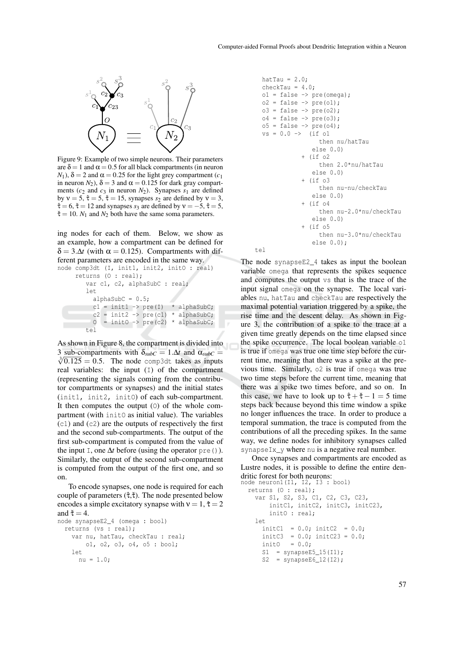

Figure 9: Example of two simple neurons. Their parameters are  $\delta = 1$  and  $\alpha = 0.5$  for all black compartments (in neuron  $N_1$ ),  $\delta = 2$  and  $\alpha = 0.25$  for the light grey compartment ( $c_1$ ) in neuron  $N_2$ ),  $\delta = 3$  and  $\alpha = 0.125$  for dark gray compartments ( $c_2$  and  $c_3$  in neuron  $N_2$ ). Synapses  $s_1$  are defined by  $v = 5$ ,  $\hat{\tau} = 5$ ,  $\check{\tau} = 15$ , synapses  $s_2$  are defined by  $v = 3$ ,  $\hat{\tau} = 6$ ,  $\check{\tau} = 12$  and synapses *s*<sub>3</sub> are defined by  $v = -5$ ,  $\hat{\tau} = 5$ ,  $\check{\tau} = 10$ . *N*<sub>1</sub> and *N*<sub>2</sub> both have the same soma parameters.

ing nodes for each of them. Below, we show as an example, how a compartment can be defined for  $\delta = 3.\Delta t$  (with  $\alpha = 0.125$ ). Compartments with different parameters are encoded in the same way.

```
node comp3dt (I, init1, init2, init0 : real)
     returns (O : real);
         var c1, c2, alphaSubC : real;
         let
           alphaSubC = 0.5;
          c1 = init1 \rightarrow pre(I) * alphaSubC;c2 = init2 \rightarrow pre(c1) * alphaSubC;0 = \text{init0} \rightarrow \text{pre(c2)} * \text{alphaSubC};tel
```
As shown in Figure 8, the compartment is divided into 3 sub-compartments with  $\delta_{subC} = 1.\Delta t$  and  $\alpha_{subC} =$  $\sqrt[3]{0.125} = 0.5$ . The node comp3dt takes as inputs real variables: the input (I) of the compartment (representing the signals coming from the contributor compartments or synapses) and the initial states (init1, init2, initO) of each sub-compartment. It then computes the output (O) of the whole compartment (with initO as initial value). The variables (c1) and (c2) are the outputs of respectively the first and the second sub-compartments. The output of the first sub-compartment is computed from the value of the input I, one  $\Delta t$  before (using the operator pre()). Similarly, the output of the second sub-compartment is computed from the output of the first one, and so on.

To encode synapses, one node is required for each couple of parameters  $(\hat{\tau}, \check{\tau})$ . The node presented below encodes a simple excitatory synapse with  $v = 1$ ,  $\hat{\tau} = 2$ and  $\check{\tau} = 4$ .

```
node synapseE2_4 (omega : bool)
  returns (vs : real);
    var nu, hatTau, checkTau : real;
        o1, o2, o3, o4, o5 : bool;
    l \approxnu = 1.0;
```

```
hatTau = 2.0;
checkTau = 4.0;
ol = false \rightarrow pre(omega);
o2 = false \rightarrow pre(o1);o3 = false \rightarrow pre(o2);o4 = false \rightarrow pre(o3);
\circ5 = false -> pre(\circ4);
vs = 0.0 \rightarrow (if ol
                   then nu/hatTau
                else 0.0)
             + (if o2
                   then 2.0*nu/hatTau
                else 0.0)
             + (if o3
                   then nu-nu/checkTau
                else 0.0)
             + (if o4
                   then nu-2.0*nu/checkTau
                else 0.0)
             + (if o5
                   then nu-3.0*nu/checkTau
                else 0.0);
```
 $t \in \mathbb{R}$ 

The node synapseE2\_4 takes as input the boolean variable omega that represents the spikes sequence and computes the output vs that is the trace of the input signal omega on the synapse. The local variables nu, hatTau and checkTau are respectively the maximal potential variation triggered by a spike, the rise time and the descent delay. As shown in Figure 3, the contribution of a spike to the trace at a given time greatly depends on the time elapsed since the spike occurrence. The local boolean variable o1 is true if omega was true one time step before the current time, meaning that there was a spike at the previous time. Similarly, o2 is true if omega was true two time steps before the current time, meaning that there was a spike two times before, and so on. In this case, we have to look up to  $\hat{\tau} + \check{\tau} - 1 = 5$  time steps back because beyond this time window a spike no longer influences the trace. In order to produce a temporal summation, the trace is computed from the contributions of all the preceding spikes. In the same way, we define nodes for inhibitory synapses called synapseIx y where nu is a negative real number.

Once synapses and compartments are encoded as Lustre nodes, it is possible to define the entire dendritic forest for both neurons:<br>node neuron1(I1, I2, I3 : bool)

```
returns (O : real);
  var S1, S2, S3, C1, C2, C3, C23,
     initC1, initC2, initC3, initC23,
     initO : real;
 l \approxinitC1 = 0.0; initC2 = 0.0;initC3 = 0.0; initC23 = 0.0;init0 = 0.0;
   S1 = synapseE5_15(11);S2 = synapseE6 12(I2);
```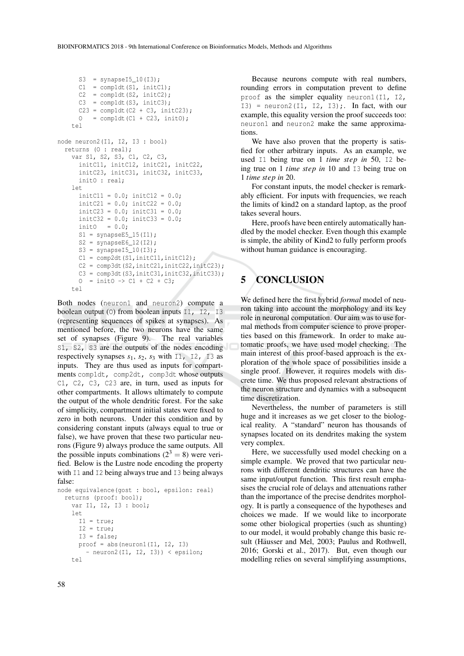```
S3 = synapseI5_10(I3);
       C1 = \text{complot}(S1, \text{initC1});C2 = \text{complot}(S2, \text{initC2});C3 = \text{complot}(S3, \text{initC3});
      C23 = \text{complot}(C2 + C3, \text{initC23});0 = compldt(C1 + C23, init0);
    t \in \mathbb{R}node neuron2(I1, I2, I3 : bool)
  returns (O : real);
    var S1, S2, S3, C1, C2, C3,
      initC11, initC12, initC21, initC22,
      initC23, initC31, initC32, initC33,
      initO : real;
    let
       initC11 = 0.0; initC12 = 0.0;initC21 = 0.0; initC22 = 0.0;initC23 = 0.0; initC31 = 0.0;initC32 = 0.0; initC33 = 0.0;init0 = 0.0;
       S1 = synapseE5_15(I1);
       S2 = synapseE6_12(I2);
       S3 = synapseI5_10(I3);
       C1 = \text{comp2dt}(S1, \text{initC11}, \text{initC12});C2 = comp3dt (S2, initC21, initC22, initC23);
       C3 = \text{comp3dt}(S3,\text{initC31},\text{initC32},\text{initC33});0 = init0 \rightarrow C1 + C2 + C3;t \approx 1
```
Both nodes (neuron1 and neuron2) compute a boolean output (O) from boolean inputs I1, I2, I3 (representing sequences of spikes at synapses). As mentioned before, the two neurons have the same set of synapses (Figure 9). The real variables S1, S2, S3 are the outputs of the nodes encoding respectively synapses  $s_1$ ,  $s_2$ ,  $s_3$  with  $\overline{11}$ ,  $\overline{12}$ ,  $\overline{13}$  as inputs. They are thus used as inputs for compartments comp1dt, comp2dt, comp3dt whose outputs C1, C2, C3, C23 are, in turn, used as inputs for other compartments. It allows ultimately to compute the output of the whole dendritic forest. For the sake of simplicity, compartment initial states were fixed to zero in both neurons. Under this condition and by considering constant inputs (always equal to true or false), we have proven that these two particular neurons (Figure 9) always produce the same outputs. All the possible inputs combinations ( $2^3 = 8$ ) were verified. Below is the Lustre node encoding the property with  $\text{I1}$  and  $\text{I2}$  being always true and  $\text{I3}$  being always false:

```
node equivalence(gost : bool, epsilon: real)
  returns (proof: bool);
    var I1, I2, I3 : bool;
    let
     I1 = true;
      I2 = true;I3 = false;
      proof = abs(neuron1(I1, I2, I3))- neuron2(I1, I2, I3)) < epsilon;
    tel
```
Because neurons compute with real numbers, rounding errors in computation prevent to define proof as the simpler equality neuron1(I1, I2, I3) = neuron2(I1, I2, I3);. In fact, with our example, this equality version the proof succeeds too: neuron1 and neuron2 make the same approximations.

We have also proven that the property is satisfied for other arbitrary inputs. As an example, we used I1 being true on 1 *time step in* 50, I2 being true on 1 *time step in* 10 and I3 being true on 1 *time step in* 20.

For constant inputs, the model checker is remarkably efficient. For inputs with frequencies, we reach the limits of kind2 on a standard laptop, as the proof takes several hours.

Here, proofs have been entirely automatically handled by the model checker. Even though this example is simple, the ability of Kind2 to fully perform proofs without human guidance is encouraging.

### 5 CONCLUSION

We defined here the first hybrid *formal* model of neuron taking into account the morphology and its key role in neuronal computation. Our aim was to use formal methods from computer science to prove properties based on this framework. In order to make automatic proofs, we have used model checking. The main interest of this proof-based approach is the exploration of the whole space of possibilities inside a single proof. However, it requires models with discrete time. We thus proposed relevant abstractions of the neuron structure and dynamics with a subsequent time discretization.

Nevertheless, the number of parameters is still huge and it increases as we get closer to the biological reality. A "standard" neuron has thousands of synapses located on its dendrites making the system very complex.

Here, we successfully used model checking on a simple example. We proved that two particular neurons with different dendritic structures can have the same input/output function. This first result emphasises the crucial role of delays and attenuations rather than the importance of the precise dendrites morphology. It is partly a consequence of the hypotheses and choices we made. If we would like to incorporate some other biological properties (such as shunting) to our model, it would probably change this basic result (Häusser and Mel, 2003; Paulus and Rothwell, 2016; Gorski et al., 2017). But, even though our modelling relies on several simplifying assumptions,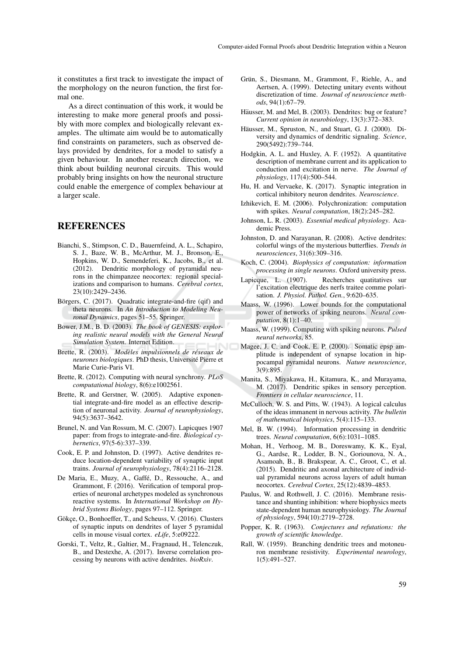it constitutes a first track to investigate the impact of the morphology on the neuron function, the first formal one.

As a direct continuation of this work, it would be interesting to make more general proofs and possibly with more complex and biologically relevant examples. The ultimate aim would be to automatically find constraints on parameters, such as observed delays provided by dendrites, for a model to satisfy a given behaviour. In another research direction, we think about building neuronal circuits. This would probably bring insights on how the neuronal structure could enable the emergence of complex behaviour at a larger scale.

### **REFERENCES**

- Bianchi, S., Stimpson, C. D., Bauernfeind, A. L., Schapiro, S. J., Baze, W. B., McArthur, M. J., Bronson, E., Hopkins, W. D., Semendeferi, K., Jacobs, B., et al. (2012). Dendritic morphology of pyramidal neurons in the chimpanzee neocortex: regional specializations and comparison to humans. *Cerebral cortex*, 23(10):2429–2436.
- Börgers, C. (2017). Quadratic integrate-and-fire (qif) and theta neurons. In *An Introduction to Modeling Neuronal Dynamics*, pages 51–55. Springer.
- Bower, J.M., B. D. (2003). *The book of GENESIS: exploring realistic neural models with the General Neural Simulation System*. Internet Edition.
- Brette, R. (2003). *Modèles impulsionnels de réseaux de neurones biologiques*. PhD thesis, Universite Pierre et ´ Marie Curie-Paris VI.
- Brette, R. (2012). Computing with neural synchrony. *PLoS computational biology*, 8(6):e1002561.
- Brette, R. and Gerstner, W. (2005). Adaptive exponential integrate-and-fire model as an effective description of neuronal activity. *Journal of neurophysiology*, 94(5):3637–3642.
- Brunel, N. and Van Rossum, M. C. (2007). Lapicques 1907 paper: from frogs to integrate-and-fire. *Biological cybernetics*, 97(5-6):337–339.
- Cook, E. P. and Johnston, D. (1997). Active dendrites reduce location-dependent variability of synaptic input trains. *Journal of neurophysiology*, 78(4):2116–2128.
- De Maria, E., Muzy, A., Gaffé, D., Ressouche, A., and Grammont, F. (2016). Verification of temporal properties of neuronal archetypes modeled as synchronous reactive systems. In *International Workshop on Hybrid Systems Biology*, pages 97–112. Springer.
- Gökce, O., Bonhoeffer, T., and Scheuss, V. (2016). Clusters of synaptic inputs on dendrites of layer 5 pyramidal cells in mouse visual cortex. *eLife*, 5:e09222.
- Gorski, T., Veltz, R., Galtier, M., Fragnaud, H., Telenczuk, B., and Destexhe, A. (2017). Inverse correlation processing by neurons with active dendrites. *bioRxiv*.
- Grün, S., Diesmann, M., Grammont, F., Riehle, A., and Aertsen, A. (1999). Detecting unitary events without discretization of time. *Journal of neuroscience methods*, 94(1):67–79.
- Häusser, M. and Mel, B. (2003). Dendrites: bug or feature? *Current opinion in neurobiology*, 13(3):372–383.
- Häusser, M., Spruston, N., and Stuart, G. J. (2000). Diversity and dynamics of dendritic signaling. *Science*, 290(5492):739–744.
- Hodgkin, A. L. and Huxley, A. F. (1952). A quantitative description of membrane current and its application to conduction and excitation in nerve. *The Journal of physiology*, 117(4):500–544.
- Hu, H. and Vervaeke, K. (2017). Synaptic integration in cortical inhibitory neuron dendrites. *Neuroscience*.
- Izhikevich, E. M. (2006). Polychronization: computation with spikes. *Neural computation*, 18(2):245–282.
- Johnson, L. R. (2003). *Essential medical physiology*. Academic Press.
- Johnston, D. and Narayanan, R. (2008). Active dendrites: colorful wings of the mysterious butterflies. *Trends in neurosciences*, 31(6):309–316.
- Koch, C. (2004). *Biophysics of computation: information processing in single neurons*. Oxford university press.
- Lapicque, L. (1907). Recherches quatitatives sur l'excitation electrique des nerfs traitee comme polarisation. *J. Physiol. Pathol. Gen.*, 9:620–635.
- Maass, W. (1996). Lower bounds for the computational power of networks of spiking neurons. *Neural computation*, 8(1):1–40.
- Maass, W. (1999). Computing with spiking neurons. *Pulsed neural networks*, 85.
- Magee, J. C. and Cook, E. P. (2000). Somatic epsp amplitude is independent of synapse location in hippocampal pyramidal neurons. *Nature neuroscience*,  $3(9):895.$
- Manita, S., Miyakawa, H., Kitamura, K., and Murayama, M. (2017). Dendritic spikes in sensory perception. *Frontiers in cellular neuroscience*, 11.
- McCulloch, W. S. and Pitts, W. (1943). A logical calculus of the ideas immanent in nervous activity. *The bulletin of mathematical biophysics*, 5(4):115–133.
- Mel, B. W. (1994). Information processing in dendritic trees. *Neural computation*, 6(6):1031–1085.
- Mohan, H., Verhoog, M. B., Doreswamy, K. K., Eyal, G., Aardse, R., Lodder, B. N., Goriounova, N. A., Asamoah, B., B. Brakspear, A. C., Groot, C., et al. (2015). Dendritic and axonal architecture of individual pyramidal neurons across layers of adult human neocortex. *Cerebral Cortex*, 25(12):4839–4853.
- Paulus, W. and Rothwell, J. C. (2016). Membrane resistance and shunting inhibition: where biophysics meets state-dependent human neurophysiology. *The Journal of physiology*, 594(10):2719–2728.
- Popper, K. R. (1963). *Conjectures and refutations: the growth of scientific knowledge*.
- Rall, W. (1959). Branching dendritic trees and motoneuron membrane resistivity. *Experimental neurology*, 1(5):491–527.